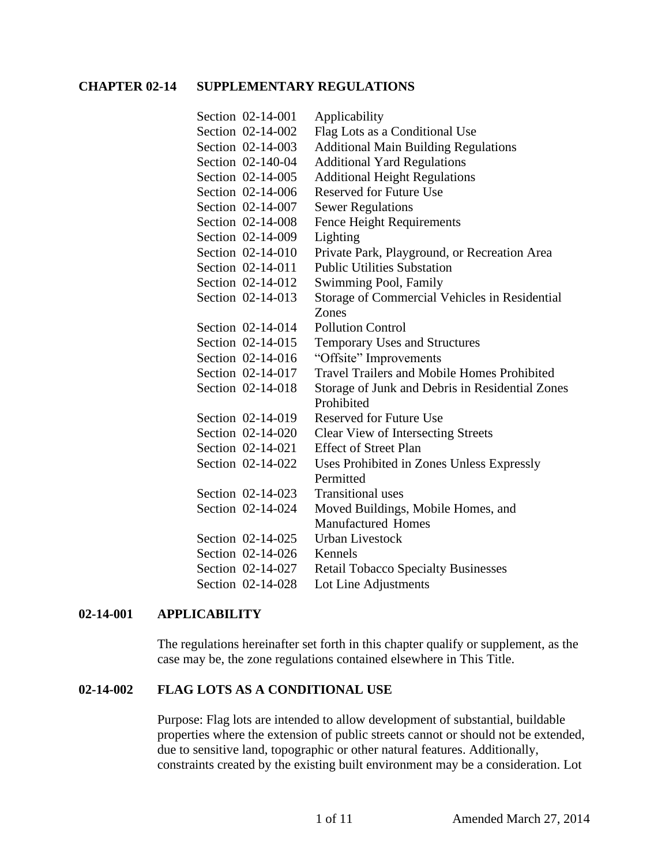### **CHAPTER 02-14 SUPPLEMENTARY REGULATIONS**

| Section 02-14-001 | Applicability                                      |
|-------------------|----------------------------------------------------|
| Section 02-14-002 | Flag Lots as a Conditional Use                     |
| Section 02-14-003 | <b>Additional Main Building Regulations</b>        |
| Section 02-140-04 | <b>Additional Yard Regulations</b>                 |
| Section 02-14-005 | <b>Additional Height Regulations</b>               |
| Section 02-14-006 | <b>Reserved for Future Use</b>                     |
| Section 02-14-007 | <b>Sewer Regulations</b>                           |
| Section 02-14-008 | <b>Fence Height Requirements</b>                   |
| Section 02-14-009 | Lighting                                           |
| Section 02-14-010 | Private Park, Playground, or Recreation Area       |
| Section 02-14-011 | <b>Public Utilities Substation</b>                 |
| Section 02-14-012 | Swimming Pool, Family                              |
| Section 02-14-013 | Storage of Commercial Vehicles in Residential      |
|                   | Zones                                              |
| Section 02-14-014 | <b>Pollution Control</b>                           |
| Section 02-14-015 | Temporary Uses and Structures                      |
| Section 02-14-016 | "Offsite" Improvements                             |
| Section 02-14-017 | <b>Travel Trailers and Mobile Homes Prohibited</b> |
| Section 02-14-018 | Storage of Junk and Debris in Residential Zones    |
|                   | Prohibited                                         |
| Section 02-14-019 | <b>Reserved for Future Use</b>                     |
| Section 02-14-020 | <b>Clear View of Intersecting Streets</b>          |
| Section 02-14-021 | <b>Effect of Street Plan</b>                       |
| Section 02-14-022 | Uses Prohibited in Zones Unless Expressly          |
|                   | Permitted                                          |
| Section 02-14-023 | <b>Transitional</b> uses                           |
| Section 02-14-024 | Moved Buildings, Mobile Homes, and                 |
|                   | <b>Manufactured Homes</b>                          |
| Section 02-14-025 | <b>Urban Livestock</b>                             |
| Section 02-14-026 | Kennels                                            |
| Section 02-14-027 | <b>Retail Tobacco Specialty Businesses</b>         |
| Section 02-14-028 | Lot Line Adjustments                               |

#### **02-14-001 APPLICABILITY**

The regulations hereinafter set forth in this chapter qualify or supplement, as the case may be, the zone regulations contained elsewhere in This Title.

#### **02-14-002 FLAG LOTS AS A CONDITIONAL USE**

Purpose: Flag lots are intended to allow development of substantial, buildable properties where the extension of public streets cannot or should not be extended, due to sensitive land, topographic or other natural features. Additionally, constraints created by the existing built environment may be a consideration. Lot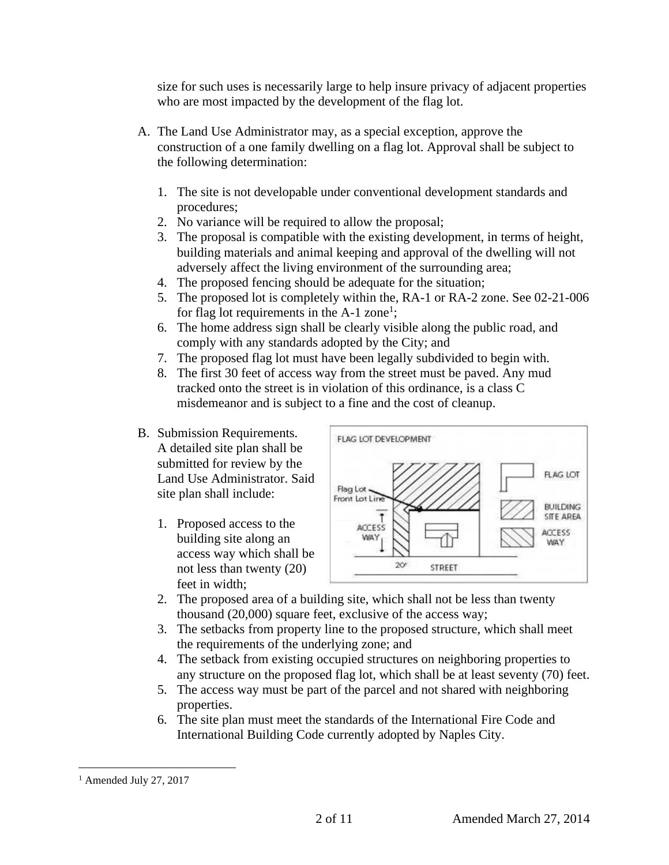size for such uses is necessarily large to help insure privacy of adjacent properties who are most impacted by the development of the flag lot.

- A. The Land Use Administrator may, as a special exception, approve the construction of a one family dwelling on a flag lot. Approval shall be subject to the following determination:
	- 1. The site is not developable under conventional development standards and procedures;
	- 2. No variance will be required to allow the proposal;
	- 3. The proposal is compatible with the existing development, in terms of height, building materials and animal keeping and approval of the dwelling will not adversely affect the living environment of the surrounding area;
	- 4. The proposed fencing should be adequate for the situation;
	- 5. The proposed lot is completely within the, RA-1 or RA-2 zone. See 02-21-006 for flag lot requirements in the  $A-1$  zone<sup>1</sup>;
	- 6. The home address sign shall be clearly visible along the public road, and comply with any standards adopted by the City; and
	- 7. The proposed flag lot must have been legally subdivided to begin with.
	- 8. The first 30 feet of access way from the street must be paved. Any mud tracked onto the street is in violation of this ordinance, is a class C misdemeanor and is subject to a fine and the cost of cleanup.
- B. Submission Requirements. A detailed site plan shall be submitted for review by the Land Use Administrator. Said site plan shall include:
	- 1. Proposed access to the building site along an access way which shall be not less than twenty (20) feet in width;



- 2. The proposed area of a building site, which shall not be less than twenty thousand (20,000) square feet, exclusive of the access way;
- 3. The setbacks from property line to the proposed structure, which shall meet the requirements of the underlying zone; and
- 4. The setback from existing occupied structures on neighboring properties to any structure on the proposed flag lot, which shall be at least seventy (70) feet.
- 5. The access way must be part of the parcel and not shared with neighboring properties.
- 6. The site plan must meet the standards of the International Fire Code and International Building Code currently adopted by Naples City.

 $<sup>1</sup>$  Amended July 27, 2017</sup>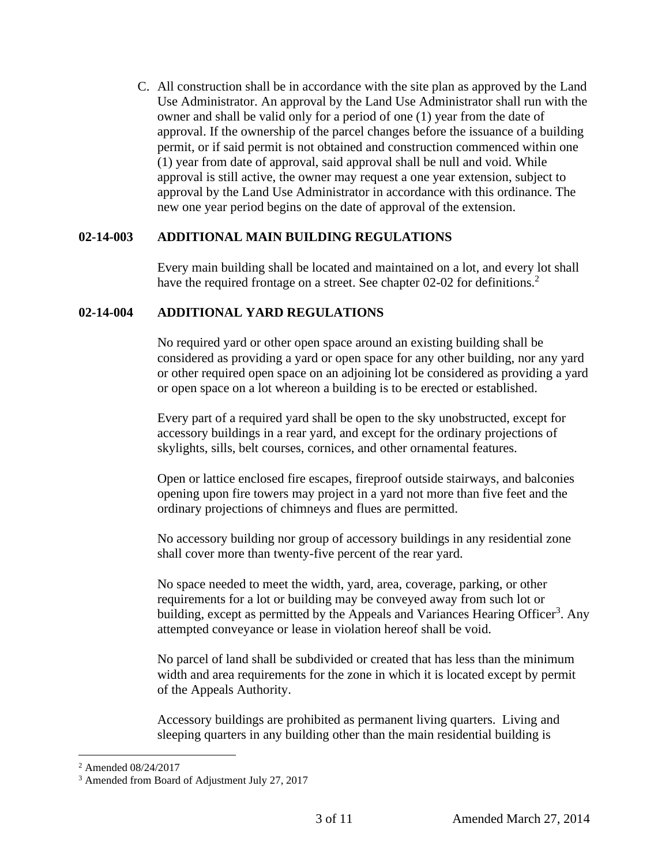C. All construction shall be in accordance with the site plan as approved by the Land Use Administrator. An approval by the Land Use Administrator shall run with the owner and shall be valid only for a period of one (1) year from the date of approval. If the ownership of the parcel changes before the issuance of a building permit, or if said permit is not obtained and construction commenced within one (1) year from date of approval, said approval shall be null and void. While approval is still active, the owner may request a one year extension, subject to approval by the Land Use Administrator in accordance with this ordinance. The new one year period begins on the date of approval of the extension.

## **02-14-003 ADDITIONAL MAIN BUILDING REGULATIONS**

Every main building shall be located and maintained on a lot, and every lot shall have the required frontage on a street. See chapter 02-02 for definitions.<sup>2</sup>

## **02-14-004 ADDITIONAL YARD REGULATIONS**

No required yard or other open space around an existing building shall be considered as providing a yard or open space for any other building, nor any yard or other required open space on an adjoining lot be considered as providing a yard or open space on a lot whereon a building is to be erected or established.

Every part of a required yard shall be open to the sky unobstructed, except for accessory buildings in a rear yard, and except for the ordinary projections of skylights, sills, belt courses, cornices, and other ornamental features.

Open or lattice enclosed fire escapes, fireproof outside stairways, and balconies opening upon fire towers may project in a yard not more than five feet and the ordinary projections of chimneys and flues are permitted.

No accessory building nor group of accessory buildings in any residential zone shall cover more than twenty-five percent of the rear yard.

No space needed to meet the width, yard, area, coverage, parking, or other requirements for a lot or building may be conveyed away from such lot or building, except as permitted by the Appeals and Variances Hearing Officer<sup>3</sup>. Any attempted conveyance or lease in violation hereof shall be void.

No parcel of land shall be subdivided or created that has less than the minimum width and area requirements for the zone in which it is located except by permit of the Appeals Authority.

Accessory buildings are prohibited as permanent living quarters. Living and sleeping quarters in any building other than the main residential building is

<sup>2</sup> Amended 08/24/2017

<sup>3</sup> Amended from Board of Adjustment July 27, 2017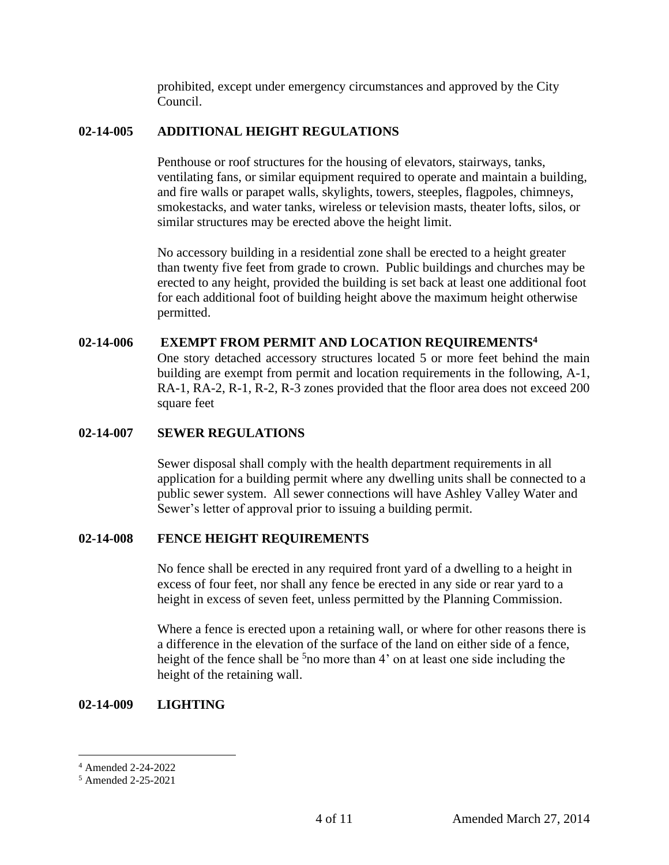prohibited, except under emergency circumstances and approved by the City Council.

### **02-14-005 ADDITIONAL HEIGHT REGULATIONS**

Penthouse or roof structures for the housing of elevators, stairways, tanks, ventilating fans, or similar equipment required to operate and maintain a building, and fire walls or parapet walls, skylights, towers, steeples, flagpoles, chimneys, smokestacks, and water tanks, wireless or television masts, theater lofts, silos, or similar structures may be erected above the height limit.

No accessory building in a residential zone shall be erected to a height greater than twenty five feet from grade to crown. Public buildings and churches may be erected to any height, provided the building is set back at least one additional foot for each additional foot of building height above the maximum height otherwise permitted.

#### **02-14-006 EXEMPT FROM PERMIT AND LOCATION REQUIREMENTS<sup>4</sup>**

One story detached accessory structures located 5 or more feet behind the main building are exempt from permit and location requirements in the following, A-1, RA-1, RA-2, R-1, R-2, R-3 zones provided that the floor area does not exceed 200 square feet

#### **02-14-007 SEWER REGULATIONS**

Sewer disposal shall comply with the health department requirements in all application for a building permit where any dwelling units shall be connected to a public sewer system. All sewer connections will have Ashley Valley Water and Sewer's letter of approval prior to issuing a building permit.

#### **02-14-008 FENCE HEIGHT REQUIREMENTS**

No fence shall be erected in any required front yard of a dwelling to a height in excess of four feet, nor shall any fence be erected in any side or rear yard to a height in excess of seven feet, unless permitted by the Planning Commission.

Where a fence is erected upon a retaining wall, or where for other reasons there is a difference in the elevation of the surface of the land on either side of a fence, height of the fence shall be  $5n$  more than 4' on at least one side including the height of the retaining wall.

#### **02-14-009 LIGHTING**

<sup>4</sup> Amended 2-24-2022

<sup>5</sup> Amended 2-25-2021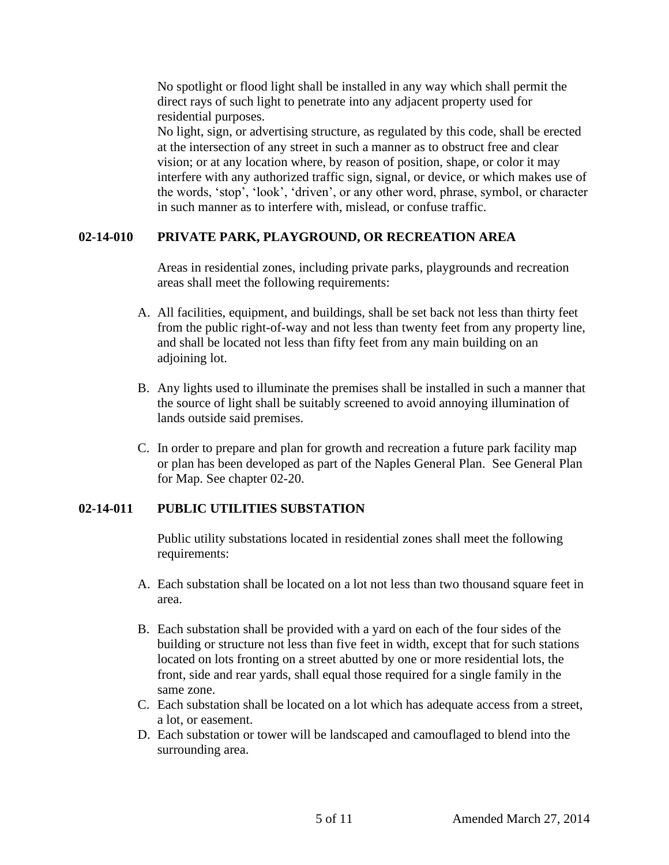No spotlight or flood light shall be installed in any way which shall permit the direct rays of such light to penetrate into any adjacent property used for residential purposes.

No light, sign, or advertising structure, as regulated by this code, shall be erected at the intersection of any street in such a manner as to obstruct free and clear vision; or at any location where, by reason of position, shape, or color it may interfere with any authorized traffic sign, signal, or device, or which makes use of the words, 'stop', 'look', 'driven', or any other word, phrase, symbol, or character in such manner as to interfere with, mislead, or confuse traffic.

## **02-14-010 PRIVATE PARK, PLAYGROUND, OR RECREATION AREA**

Areas in residential zones, including private parks, playgrounds and recreation areas shall meet the following requirements:

- A. All facilities, equipment, and buildings, shall be set back not less than thirty feet from the public right-of-way and not less than twenty feet from any property line, and shall be located not less than fifty feet from any main building on an adjoining lot.
- B. Any lights used to illuminate the premises shall be installed in such a manner that the source of light shall be suitably screened to avoid annoying illumination of lands outside said premises.
- C. In order to prepare and plan for growth and recreation a future park facility map or plan has been developed as part of the Naples General Plan. See General Plan for Map. See chapter 02-20.

# **02-14-011 PUBLIC UTILITIES SUBSTATION**

Public utility substations located in residential zones shall meet the following requirements:

- A. Each substation shall be located on a lot not less than two thousand square feet in area.
- B. Each substation shall be provided with a yard on each of the four sides of the building or structure not less than five feet in width, except that for such stations located on lots fronting on a street abutted by one or more residential lots, the front, side and rear yards, shall equal those required for a single family in the same zone.
- C. Each substation shall be located on a lot which has adequate access from a street, a lot, or easement.
- D. Each substation or tower will be landscaped and camouflaged to blend into the surrounding area.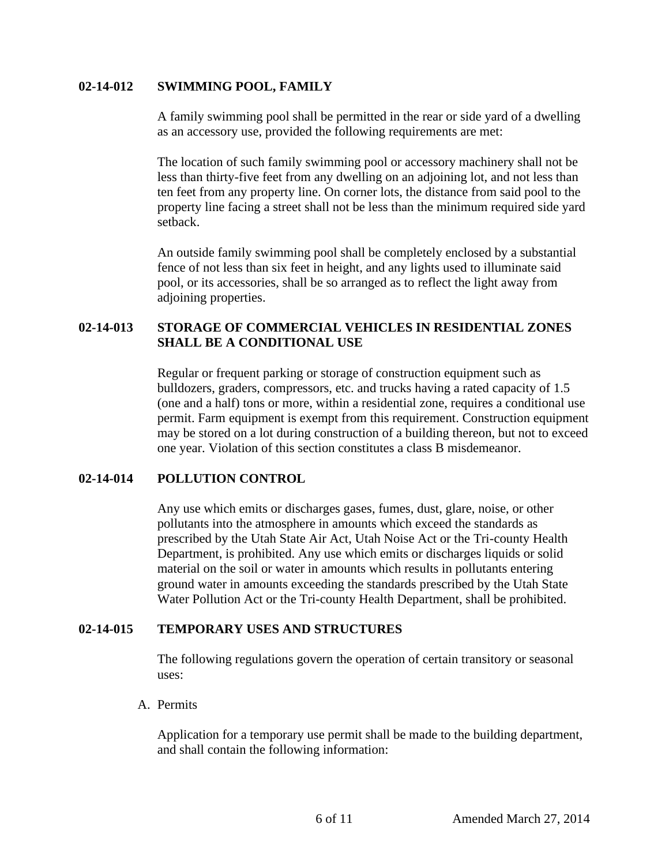### **02-14-012 SWIMMING POOL, FAMILY**

A family swimming pool shall be permitted in the rear or side yard of a dwelling as an accessory use, provided the following requirements are met:

The location of such family swimming pool or accessory machinery shall not be less than thirty-five feet from any dwelling on an adjoining lot, and not less than ten feet from any property line. On corner lots, the distance from said pool to the property line facing a street shall not be less than the minimum required side yard setback.

An outside family swimming pool shall be completely enclosed by a substantial fence of not less than six feet in height, and any lights used to illuminate said pool, or its accessories, shall be so arranged as to reflect the light away from adjoining properties.

# **02-14-013 STORAGE OF COMMERCIAL VEHICLES IN RESIDENTIAL ZONES SHALL BE A CONDITIONAL USE**

Regular or frequent parking or storage of construction equipment such as bulldozers, graders, compressors, etc. and trucks having a rated capacity of 1.5 (one and a half) tons or more, within a residential zone, requires a conditional use permit. Farm equipment is exempt from this requirement. Construction equipment may be stored on a lot during construction of a building thereon, but not to exceed one year. Violation of this section constitutes a class B misdemeanor.

### **02-14-014 POLLUTION CONTROL**

Any use which emits or discharges gases, fumes, dust, glare, noise, or other pollutants into the atmosphere in amounts which exceed the standards as prescribed by the Utah State Air Act, Utah Noise Act or the Tri-county Health Department, is prohibited. Any use which emits or discharges liquids or solid material on the soil or water in amounts which results in pollutants entering ground water in amounts exceeding the standards prescribed by the Utah State Water Pollution Act or the Tri-county Health Department, shall be prohibited.

# **02-14-015 TEMPORARY USES AND STRUCTURES**

The following regulations govern the operation of certain transitory or seasonal uses:

### A. Permits

Application for a temporary use permit shall be made to the building department, and shall contain the following information: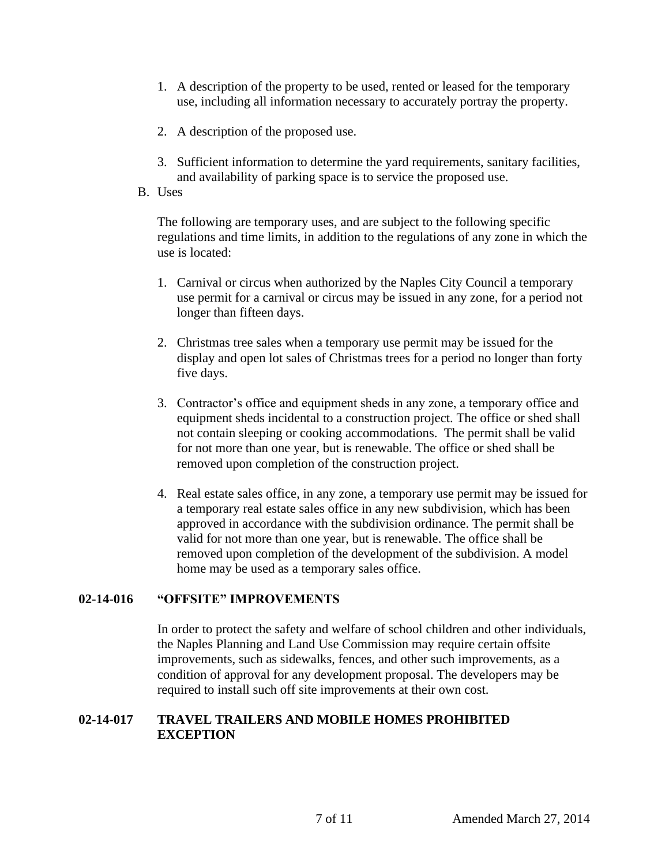- 1. A description of the property to be used, rented or leased for the temporary use, including all information necessary to accurately portray the property.
- 2. A description of the proposed use.
- 3. Sufficient information to determine the yard requirements, sanitary facilities, and availability of parking space is to service the proposed use.
- B. Uses

The following are temporary uses, and are subject to the following specific regulations and time limits, in addition to the regulations of any zone in which the use is located:

- 1. Carnival or circus when authorized by the Naples City Council a temporary use permit for a carnival or circus may be issued in any zone, for a period not longer than fifteen days.
- 2. Christmas tree sales when a temporary use permit may be issued for the display and open lot sales of Christmas trees for a period no longer than forty five days.
- 3. Contractor's office and equipment sheds in any zone, a temporary office and equipment sheds incidental to a construction project. The office or shed shall not contain sleeping or cooking accommodations. The permit shall be valid for not more than one year, but is renewable. The office or shed shall be removed upon completion of the construction project.
- 4. Real estate sales office, in any zone, a temporary use permit may be issued for a temporary real estate sales office in any new subdivision, which has been approved in accordance with the subdivision ordinance. The permit shall be valid for not more than one year, but is renewable. The office shall be removed upon completion of the development of the subdivision. A model home may be used as a temporary sales office.

### **02-14-016 "OFFSITE" IMPROVEMENTS**

In order to protect the safety and welfare of school children and other individuals, the Naples Planning and Land Use Commission may require certain offsite improvements, such as sidewalks, fences, and other such improvements, as a condition of approval for any development proposal. The developers may be required to install such off site improvements at their own cost.

### **02-14-017 TRAVEL TRAILERS AND MOBILE HOMES PROHIBITED EXCEPTION**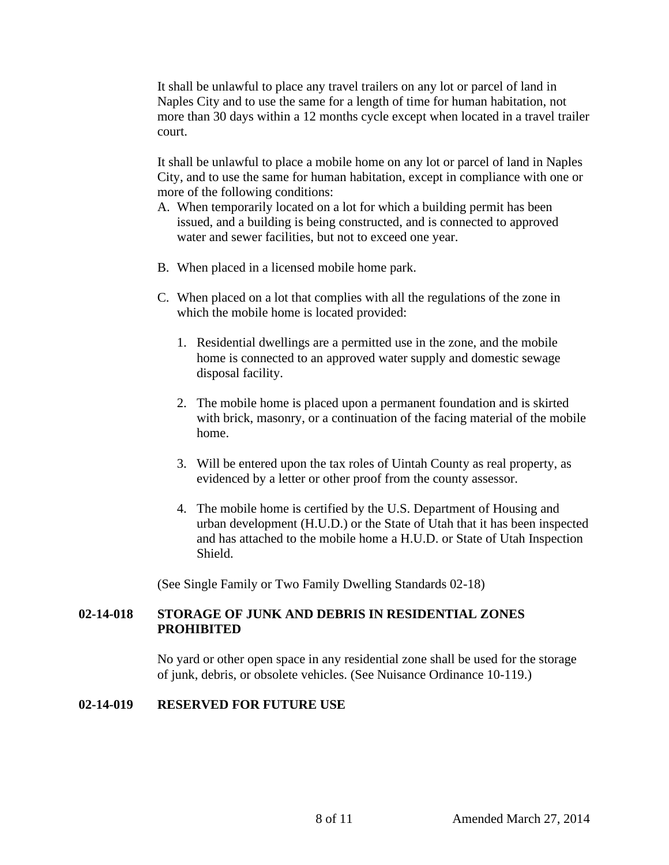It shall be unlawful to place any travel trailers on any lot or parcel of land in Naples City and to use the same for a length of time for human habitation, not more than 30 days within a 12 months cycle except when located in a travel trailer court.

It shall be unlawful to place a mobile home on any lot or parcel of land in Naples City, and to use the same for human habitation, except in compliance with one or more of the following conditions:

- A. When temporarily located on a lot for which a building permit has been issued, and a building is being constructed, and is connected to approved water and sewer facilities, but not to exceed one year.
- B. When placed in a licensed mobile home park.
- C. When placed on a lot that complies with all the regulations of the zone in which the mobile home is located provided:
	- 1. Residential dwellings are a permitted use in the zone, and the mobile home is connected to an approved water supply and domestic sewage disposal facility.
	- 2. The mobile home is placed upon a permanent foundation and is skirted with brick, masonry, or a continuation of the facing material of the mobile home.
	- 3. Will be entered upon the tax roles of Uintah County as real property, as evidenced by a letter or other proof from the county assessor.
	- 4. The mobile home is certified by the U.S. Department of Housing and urban development (H.U.D.) or the State of Utah that it has been inspected and has attached to the mobile home a H.U.D. or State of Utah Inspection Shield.

(See Single Family or Two Family Dwelling Standards 02-18)

## **02-14-018 STORAGE OF JUNK AND DEBRIS IN RESIDENTIAL ZONES PROHIBITED**

No yard or other open space in any residential zone shall be used for the storage of junk, debris, or obsolete vehicles. (See Nuisance Ordinance 10-119.)

### **02-14-019 RESERVED FOR FUTURE USE**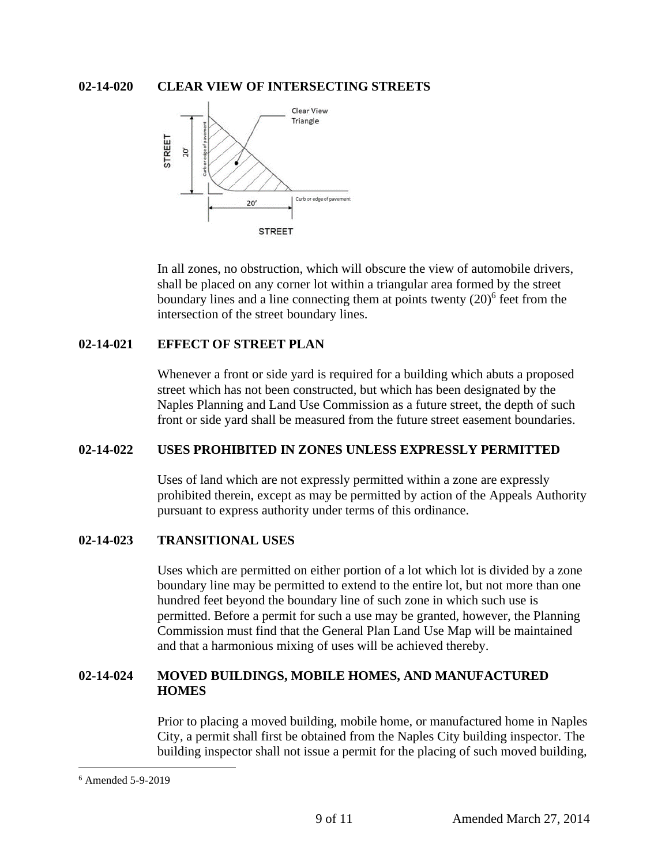## **02-14-020 CLEAR VIEW OF INTERSECTING STREETS**



In all zones, no obstruction, which will obscure the view of automobile drivers, shall be placed on any corner lot within a triangular area formed by the street boundary lines and a line connecting them at points twenty  $(20)^6$  feet from the intersection of the street boundary lines.

### **02-14-021 EFFECT OF STREET PLAN**

Whenever a front or side yard is required for a building which abuts a proposed street which has not been constructed, but which has been designated by the Naples Planning and Land Use Commission as a future street, the depth of such front or side yard shall be measured from the future street easement boundaries.

### **02-14-022 USES PROHIBITED IN ZONES UNLESS EXPRESSLY PERMITTED**

Uses of land which are not expressly permitted within a zone are expressly prohibited therein, except as may be permitted by action of the Appeals Authority pursuant to express authority under terms of this ordinance.

## **02-14-023 TRANSITIONAL USES**

Uses which are permitted on either portion of a lot which lot is divided by a zone boundary line may be permitted to extend to the entire lot, but not more than one hundred feet beyond the boundary line of such zone in which such use is permitted. Before a permit for such a use may be granted, however, the Planning Commission must find that the General Plan Land Use Map will be maintained and that a harmonious mixing of uses will be achieved thereby.

## **02-14-024 MOVED BUILDINGS, MOBILE HOMES, AND MANUFACTURED HOMES**

Prior to placing a moved building, mobile home, or manufactured home in Naples City, a permit shall first be obtained from the Naples City building inspector. The building inspector shall not issue a permit for the placing of such moved building,

<sup>6</sup> Amended 5-9-2019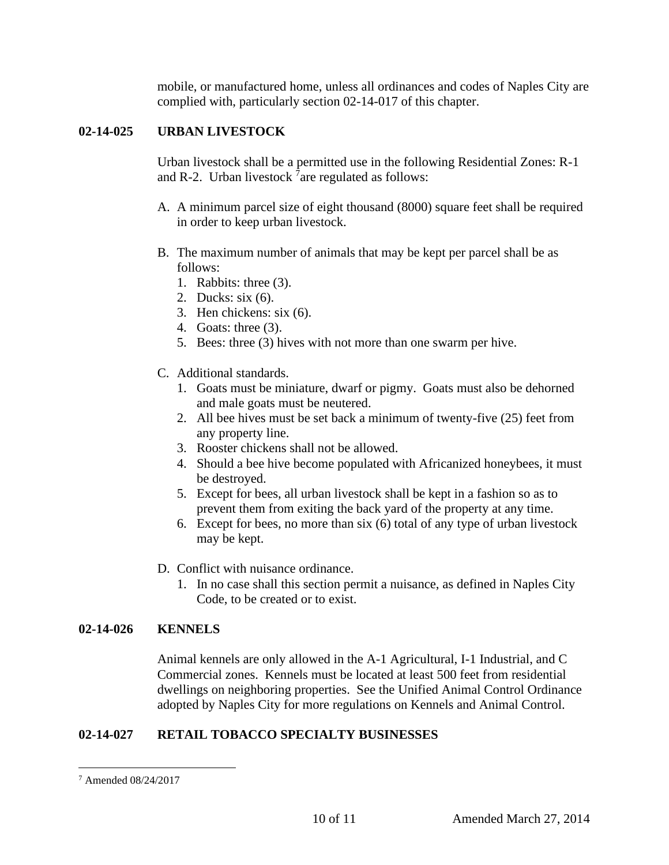mobile, or manufactured home, unless all ordinances and codes of Naples City are complied with, particularly section 02-14-017 of this chapter.

# **02-14-025 URBAN LIVESTOCK**

Urban livestock shall be a permitted use in the following Residential Zones: R-1 and R-2. Urban livestock  $7$  are regulated as follows:

- A. A minimum parcel size of eight thousand (8000) square feet shall be required in order to keep urban livestock.
- B. The maximum number of animals that may be kept per parcel shall be as follows:
	- 1. Rabbits: three (3).
	- 2. Ducks: six (6).
	- 3. Hen chickens: six (6).
	- 4. Goats: three (3).
	- 5. Bees: three (3) hives with not more than one swarm per hive.
- C. Additional standards.
	- 1. Goats must be miniature, dwarf or pigmy. Goats must also be dehorned and male goats must be neutered.
	- 2. All bee hives must be set back a minimum of twenty-five (25) feet from any property line.
	- 3. Rooster chickens shall not be allowed.
	- 4. Should a bee hive become populated with Africanized honeybees, it must be destroyed.
	- 5. Except for bees, all urban livestock shall be kept in a fashion so as to prevent them from exiting the back yard of the property at any time.
	- 6. Except for bees, no more than six (6) total of any type of urban livestock may be kept.
- D. Conflict with nuisance ordinance.
	- 1. In no case shall this section permit a nuisance, as defined in Naples City Code, to be created or to exist.

### **02-14-026 KENNELS**

Animal kennels are only allowed in the A-1 Agricultural, I-1 Industrial, and C Commercial zones. Kennels must be located at least 500 feet from residential dwellings on neighboring properties. See the Unified Animal Control Ordinance adopted by Naples City for more regulations on Kennels and Animal Control.

# **02-14-027 RETAIL TOBACCO SPECIALTY BUSINESSES**

<sup>7</sup> Amended 08/24/2017